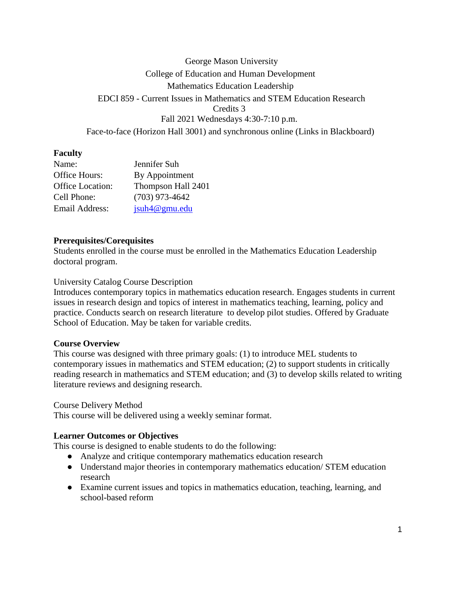# George Mason University College of Education and Human Development Mathematics Education Leadership EDCI 859 - Current Issues in Mathematics and STEM Education Research Credits 3 Fall 2021 Wednesdays 4:30-7:10 p.m. Face-to-face (Horizon Hall 3001) and synchronous online (Links in Blackboard)

### **Faculty**

| Name:            | Jennifer Suh       |
|------------------|--------------------|
| Office Hours:    | By Appointment     |
| Office Location: | Thompson Hall 2401 |
| Cell Phone:      | $(703)$ 973-4642   |
| Email Address:   | jsuh4@gmu.edu      |

### **Prerequisites/Corequisites**

Students enrolled in the course must be enrolled in the Mathematics Education Leadership doctoral program.

University Catalog Course Description

Introduces contemporary topics in mathematics education research. Engages students in current issues in research design and topics of interest in mathematics teaching, learning, policy and practice. Conducts search on research literature to develop pilot studies. Offered by Graduate School of Education. May be taken for variable credits.

### **Course Overview**

This course was designed with three primary goals: (1) to introduce MEL students to contemporary issues in mathematics and STEM education; (2) to support students in critically reading research in mathematics and STEM education; and (3) to develop skills related to writing literature reviews and designing research.

Course Delivery Method

This course will be delivered using a weekly seminar format.

## **Learner Outcomes or Objectives**

This course is designed to enable students to do the following:

- Analyze and critique contemporary mathematics education research
- Understand major theories in contemporary mathematics education/ STEM education research
- Examine current issues and topics in mathematics education, teaching, learning, and school-based reform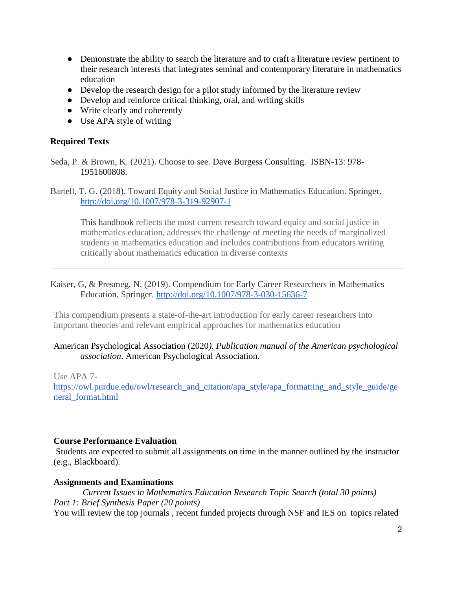- Demonstrate the ability to search the literature and to craft a literature review pertinent to their research interests that integrates seminal and contemporary literature in mathematics education
- Develop the research design for a pilot study informed by the literature review
- Develop and reinforce critical thinking, oral, and writing skills
- Write clearly and coherently
- Use APA style of writing

### **Required Texts**

Seda, P. & Brown, K. (2021). Choose to see. Dave Burgess Consulting. ISBN-13: 978- 1951600808.

Bartell, T. G. (2018). Toward Equity and Social Justice in Mathematics Education. Springer. <http://doi.org/10.1007/978-3-319-92907-1>

This handbook reflects the most current research toward equity and social justice in mathematics education, addresses the challenge of meeting the needs of marginalized students in mathematics education and includes contributions from educators writing critically about mathematics education in diverse contexts

### Kaiser, G, & Presmeg, N. (2019). Compendium for Early Career Researchers in Mathematics Education, Springer.<http://doi.org/10.1007/978-3-030-15636-7>

This compendium presents a state-of-the-art introduction for early career researchers into important theories and relevant empirical approaches for mathematics education

### American Psychological Association (2020*). Publication manual of the American psychological association*. American Psychological Association.

Use APA 7-

[https://owl.purdue.edu/owl/research\\_and\\_citation/apa\\_style/apa\\_formatting\\_and\\_style\\_guide/ge](https://owl.purdue.edu/owl/research_and_citation/apa_style/apa_formatting_and_style_guide/general_format.html) [neral\\_format.html](https://owl.purdue.edu/owl/research_and_citation/apa_style/apa_formatting_and_style_guide/general_format.html)

### **Course Performance Evaluation**

Students are expected to submit all assignments on time in the manner outlined by the instructor (e.g., Blackboard).

#### **Assignments and Examinations**

*Current Issues in Mathematics Education Research Topic Search (total 30 points) Part 1: Brief Synthesis Paper (20 points)* You will review the top journals , recent funded projects through NSF and IES on topics related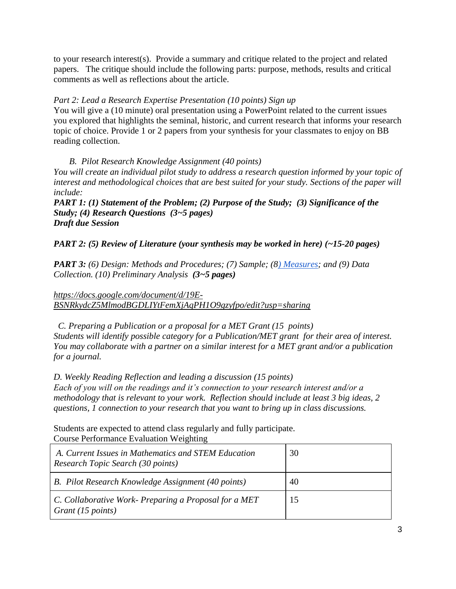to your research interest(s). Provide a summary and critique related to the project and related papers. The critique should include the following parts: purpose, methods, results and critical comments as well as reflections about the article.

### *Part 2: Lead a Research Expertise Presentation (10 points) Sign up*

You will give a (10 minute) oral presentation using a PowerPoint related to the current issues you explored that highlights the seminal, historic, and current research that informs your research topic of choice. Provide 1 or 2 papers from your synthesis for your classmates to enjoy on BB reading collection.

 *B. Pilot Research Knowledge Assignment (40 points) You will create an individual pilot study to address a research question informed by your topic of interest and methodological choices that are best suited for your study. Sections of the paper will include:* 

*PART 1: (1) Statement of the Problem; (2) Purpose of the Study; (3) Significance of the Study; (4) Research Questions (3~5 pages) Draft due Session* 

*PART 2: (5) Review of Literature (your synthesis may be worked in here) (~15-20 pages)*

*PART 3: (6) Design: Methods and Procedures; (7) Sample; ([8\) Measures;](https://drive.google.com/file/d/1Pd-gL4MkPLF_uVqQCJrphL4PgGH9gmnv/view?usp=sharing) and (9) Data Collection. (10) Preliminary Analysis (3~5 pages)*

*[https://docs.google.com/document/d/19E-](https://docs.google.com/document/d/19E-BSNRkydcZ5MlmodBGDLIYtFemXjAqPH1O9gzyfpo/edit?usp=sharing)[BSNRkydcZ5MlmodBGDLIYtFemXjAqPH1O9gzyfpo/edit?usp=sharing](https://docs.google.com/document/d/19E-BSNRkydcZ5MlmodBGDLIYtFemXjAqPH1O9gzyfpo/edit?usp=sharing)*

 *C. Preparing a Publication or a proposal for a MET Grant (15 points) Students will identify possible category for a Publication/MET grant for their area of interest. You may collaborate with a partner on a similar interest for a MET grant and/or a publication for a journal.*

*D. Weekly Reading Reflection and leading a discussion (15 points) Each of you will on the readings and it's connection to your research interest and/or a methodology that is relevant to your work. Reflection should include at least 3 big ideas, 2 questions, 1 connection to your research that you want to bring up in class discussions.* 

Students are expected to attend class regularly and fully participate. Course Performance Evaluation Weighting

| A. Current Issues in Mathematics and STEM Education<br>Research Topic Search (30 points) | 30 |
|------------------------------------------------------------------------------------------|----|
| B. Pilot Research Knowledge Assignment (40 points)                                       | 40 |
| C. Collaborative Work- Preparing a Proposal for a MET<br>Grant (15 points)               |    |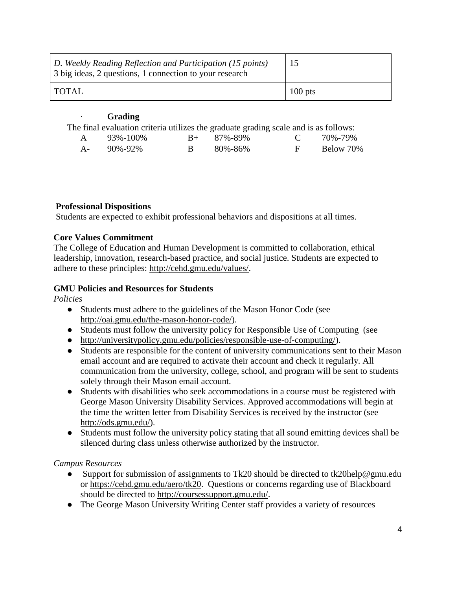| D. Weekly Reading Reflection and Participation (15 points)<br>3 big ideas, 2 questions, 1 connection to your research | 15        |
|-----------------------------------------------------------------------------------------------------------------------|-----------|
| TOTAL                                                                                                                 | $100$ pts |

### · **Grading**

The final evaluation criteria utilizes the graduate grading scale and is as follows:

| A 93%-100% | $B_{+}$ 87%-89% | $C = 70\% - 79\%$ |
|------------|-----------------|-------------------|
| A- 90%-92% | B 80%-86%       | F Below 70%       |

## **Professional Dispositions**

Students are expected to exhibit professional behaviors and dispositions at all times.

## **Core Values Commitment**

The College of Education and Human Development is committed to collaboration, ethical leadership, innovation, research-based practice, and social justice. Students are expected to adhere to these principles[:](http://cehd.gmu.edu/values/) [http://cehd.gmu.edu/values/.](http://cehd.gmu.edu/values/)

## **GMU Policies and Resources for Students**

*Policies*

- Stud[e](http://oai.gmu.edu/the-mason-honor-code/)nts must adhere to the guidelines of the Mason Honor Code (see [http://oai.gmu.edu/the-mason-honor-code/\)](http://oai.gmu.edu/the-mason-honor-code/).
- Students must follow the university policy for Responsible Use of Computing (see
- [http://universitypolicy.gmu.edu/policies/responsible-use-of-computing/\)](http://universitypolicy.gmu.edu/policies/responsible-use-of-computing/).
- Students are responsible for the content of university communications sent to their Mason email account and are required to activate their account and check it regularly. All communication from the university, college, school, and program will be sent to students solely through their Mason email account.
- Students with disabilities who seek accommodations in a course must be registered with George Mason University Disability Services. Approved accommodations will begin at the time the written letter from Disability Services is received by the instructor (se[e](http://ods.gmu.edu/) [http://ods.gmu.edu/\)](http://ods.gmu.edu/).
- Students must follow the university policy stating that all sound emitting devices shall be silenced during class unless otherwise authorized by the instructor.

## *Campus Resources*

- Support for submission of assignments to Tk20 should be directed to tk20help@gmu.edu or [https://cehd.gmu.edu/aero/tk20.](https://cehd.gmu.edu/aero/tk20) Questions or concerns regarding use of Blackboard should be directed to [http://coursessupport.gmu.edu/.](http://coursessupport.gmu.edu/)
- The George Mason University Writing Center staff provides a variety of resources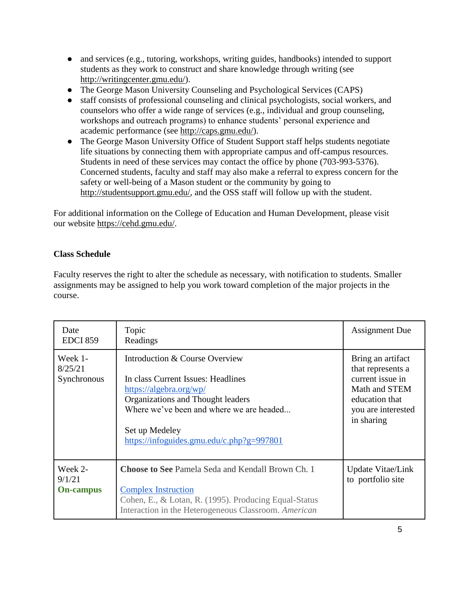- and services (e.g., tutoring, workshops, writing guides, handbooks) intended to support students as they work to construct and share knowledge through writing (se[e](http://writingcenter.gmu.edu/) [http://writingcenter.gmu.edu/\)](http://writingcenter.gmu.edu/).
- The George Mason University Counseling and Psychological Services (CAPS)
- staff consists of professional counseling and clinical psychologists, social workers, and counselors who offer a wide range of services (e.g., individual and group counseling, workshops and outreach programs) to enhance students' personal experience and academic performance (se[e](http://caps.gmu.edu/) [http://caps.gmu.edu/\)](http://caps.gmu.edu/).
- The George Mason University Office of Student Support staff helps students negotiate life situations by connecting them with appropriate campus and off-campus resources. Students in need of these services may contact the office by phone (703-993-5376). Concerned students, faculty and staff may also make a referral to express concern for the safety or well-being of a Mason student or the community by going t[o](http://studentsupport.gmu.edu/) [http://studentsupport.gmu.edu/,](http://studentsupport.gmu.edu/) and the OSS staff will follow up with the student.

For additional information on the College of Education and Human Development, please visit our website https://cehd.gmu.edu/.

# **Class Schedule**

Faculty reserves the right to alter the schedule as necessary, with notification to students. Smaller assignments may be assigned to help you work toward completion of the major projects in the course.

| Date<br><b>EDCI 859</b>               | Topic<br>Readings                                                                                                                                                                                                                               | <b>Assignment Due</b>                                                                                                             |
|---------------------------------------|-------------------------------------------------------------------------------------------------------------------------------------------------------------------------------------------------------------------------------------------------|-----------------------------------------------------------------------------------------------------------------------------------|
| Week 1-<br>8/25/21<br>Synchronous     | Introduction & Course Overview<br>In class Current Issues: Headlines<br>https://algebra.org/wp/<br>Organizations and Thought leaders<br>Where we've been and where we are headed<br>Set up Medeley<br>https://infoguides.gmu.edu/c.php?g=997801 | Bring an artifact<br>that represents a<br>current issue in<br>Math and STEM<br>education that<br>you are interested<br>in sharing |
| Week 2-<br>9/1/21<br><b>On-campus</b> | <b>Choose to See Pamela Seda and Kendall Brown Ch. 1</b><br><b>Complex Instruction</b><br>Cohen, E., & Lotan, R. (1995). Producing Equal-Status<br>Interaction in the Heterogeneous Classroom. American                                         | <b>Update Vitae/Link</b><br>to portfolio site                                                                                     |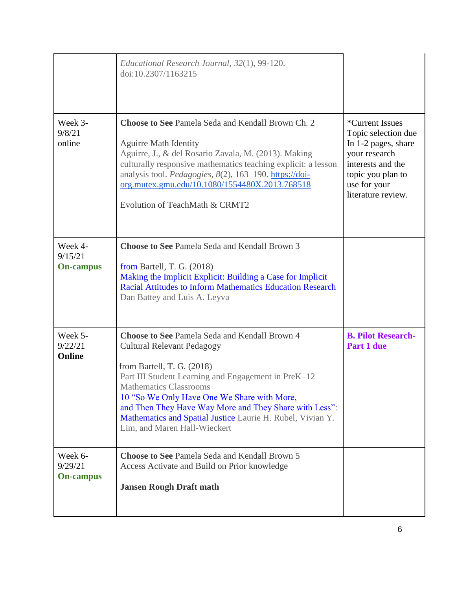|                                        | Educational Research Journal, 32(1), 99-120.<br>doi:10.2307/1163215                                                                                                                                                                                                                                                                                                                                             |                                                                                                                                                                        |
|----------------------------------------|-----------------------------------------------------------------------------------------------------------------------------------------------------------------------------------------------------------------------------------------------------------------------------------------------------------------------------------------------------------------------------------------------------------------|------------------------------------------------------------------------------------------------------------------------------------------------------------------------|
| Week 3-<br>9/8/21<br>online            | <b>Choose to See Pamela Seda and Kendall Brown Ch. 2</b><br><b>Aguirre Math Identity</b><br>Aguirre, J., & del Rosario Zavala, M. (2013). Making<br>culturally responsive mathematics teaching explicit: a lesson<br>analysis tool. Pedagogies, 8(2), 163-190. https://doi-<br>org.mutex.gmu.edu/10.1080/1554480X.2013.768518<br>Evolution of TeachMath & CRMT2                                                 | <i>*</i> Current Issues<br>Topic selection due<br>In 1-2 pages, share<br>your research<br>interests and the<br>topic you plan to<br>use for your<br>literature review. |
| Week 4-<br>9/15/21<br><b>On-campus</b> | <b>Choose to See Pamela Seda and Kendall Brown 3</b><br>from Bartell, T. G. $(2018)$<br>Making the Implicit Explicit: Building a Case for Implicit<br><b>Racial Attitudes to Inform Mathematics Education Research</b><br>Dan Battey and Luis A. Leyva                                                                                                                                                          |                                                                                                                                                                        |
| Week 5-<br>9/22/21<br>Online           | Choose to See Pamela Seda and Kendall Brown 4<br><b>Cultural Relevant Pedagogy</b><br>from Bartell, T. G. (2018)<br>Part III Student Learning and Engagement in PreK-12<br><b>Mathematics Classrooms</b><br>10 "So We Only Have One We Share with More,<br>and Then They Have Way More and They Share with Less":<br>Mathematics and Spatial Justice Laurie H. Rubel, Vivian Y.<br>Lim, and Maren Hall-Wieckert | <b>B. Pilot Research-</b><br>Part 1 due                                                                                                                                |
| Week 6-<br>9/29/21<br><b>On-campus</b> | <b>Choose to See Pamela Seda and Kendall Brown 5</b><br>Access Activate and Build on Prior knowledge<br><b>Jansen Rough Draft math</b>                                                                                                                                                                                                                                                                          |                                                                                                                                                                        |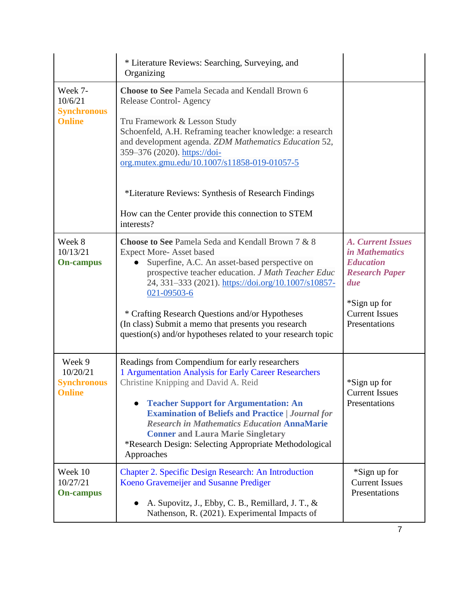|                                                           | * Literature Reviews: Searching, Surveying, and<br>Organizing                                                                                                                                                                                                                                                                                                                                                                                           |                                                                                                                                                                 |
|-----------------------------------------------------------|---------------------------------------------------------------------------------------------------------------------------------------------------------------------------------------------------------------------------------------------------------------------------------------------------------------------------------------------------------------------------------------------------------------------------------------------------------|-----------------------------------------------------------------------------------------------------------------------------------------------------------------|
| Week 7-<br>10/6/21<br><b>Synchronous</b><br><b>Online</b> | <b>Choose to See Pamela Secada and Kendall Brown 6</b><br><b>Release Control-Agency</b><br>Tru Framework & Lesson Study<br>Schoenfeld, A.H. Reframing teacher knowledge: a research<br>and development agenda. ZDM Mathematics Education 52,<br>359-376 (2020). https://doi-<br>org.mutex.gmu.edu/10.1007/s11858-019-01057-5<br>*Literature Reviews: Synthesis of Research Findings<br>How can the Center provide this connection to STEM<br>interests? |                                                                                                                                                                 |
| Week 8<br>10/13/21<br><b>On-campus</b>                    | Choose to See Pamela Seda and Kendall Brown 7 & 8<br><b>Expect More-Asset based</b><br>Superfine, A.C. An asset-based perspective on<br>prospective teacher education. J Math Teacher Educ<br>24, 331-333 (2021). https://doi.org/10.1007/s10857-<br>021-09503-6<br>* Crafting Research Questions and/or Hypotheses<br>(In class) Submit a memo that presents you research<br>question(s) and/or hypotheses related to your research topic              | <b>A. Current Issues</b><br><i>in Mathematics</i><br><b>Education</b><br><b>Research Paper</b><br>due<br>*Sign up for<br><b>Current Issues</b><br>Presentations |
| Week 9<br>10/20/21<br><b>Synchronous</b><br><b>Online</b> | Readings from Compendium for early researchers<br>1 Argumentation Analysis for Early Career Researchers<br>Christine Knipping and David A. Reid<br><b>Teacher Support for Argumentation: An</b><br><b>Examination of Beliefs and Practice   Journal for</b><br><b>Research in Mathematics Education AnnaMarie</b><br><b>Conner and Laura Marie Singletary</b><br>*Research Design: Selecting Appropriate Methodological<br>Approaches                   | *Sign up for<br><b>Current Issues</b><br>Presentations                                                                                                          |
| Week 10<br>10/27/21<br><b>On-campus</b>                   | <b>Chapter 2. Specific Design Research: An Introduction</b><br>Koeno Gravemeijer and Susanne Prediger<br>A. Supovitz, J., Ebby, C. B., Remillard, J. T., &<br>Nathenson, R. (2021). Experimental Impacts of                                                                                                                                                                                                                                             | *Sign up for<br><b>Current Issues</b><br>Presentations                                                                                                          |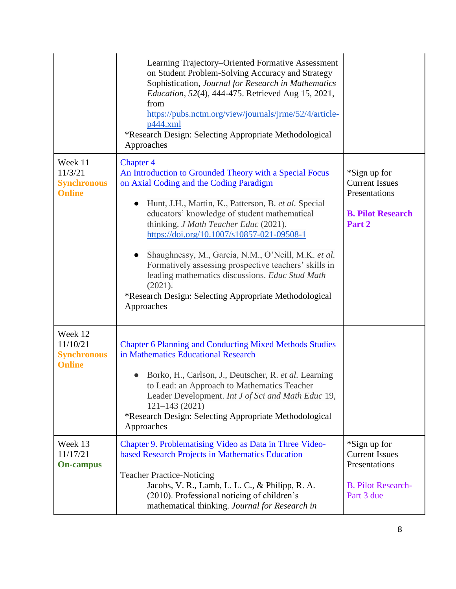|                                                            | Learning Trajectory–Oriented Formative Assessment<br>on Student Problem-Solving Accuracy and Strategy<br>Sophistication, Journal for Research in Mathematics<br>Education, 52(4), 444-475. Retrieved Aug 15, 2021,<br>from<br>https://pubs.nctm.org/view/journals/jrme/52/4/article-<br>p444.xml<br>*Research Design: Selecting Appropriate Methodological<br>Approaches                                                                                                                                                                                                                 |                                                                                                   |
|------------------------------------------------------------|------------------------------------------------------------------------------------------------------------------------------------------------------------------------------------------------------------------------------------------------------------------------------------------------------------------------------------------------------------------------------------------------------------------------------------------------------------------------------------------------------------------------------------------------------------------------------------------|---------------------------------------------------------------------------------------------------|
| Week 11<br>11/3/21<br><b>Synchronous</b><br><b>Online</b>  | <b>Chapter 4</b><br>An Introduction to Grounded Theory with a Special Focus<br>on Axial Coding and the Coding Paradigm<br>Hunt, J.H., Martin, K., Patterson, B. et al. Special<br>$\bullet$<br>educators' knowledge of student mathematical<br>thinking. J Math Teacher Educ (2021).<br>https://doi.org/10.1007/s10857-021-09508-1<br>Shaughnessy, M., Garcia, N.M., O'Neill, M.K. et al.<br>Formatively assessing prospective teachers' skills in<br>leading mathematics discussions. Educ Stud Math<br>(2021).<br>*Research Design: Selecting Appropriate Methodological<br>Approaches | *Sign up for<br><b>Current Issues</b><br>Presentations<br><b>B. Pilot Research</b><br>Part 2      |
| Week 12<br>11/10/21<br><b>Synchronous</b><br><b>Online</b> | <b>Chapter 6 Planning and Conducting Mixed Methods Studies</b><br>in Mathematics Educational Research<br>Borko, H., Carlson, J., Deutscher, R. et al. Learning<br>to Lead: an Approach to Mathematics Teacher<br>Leader Development. Int J of Sci and Math Educ 19,<br>$121 - 143(2021)$<br>*Research Design: Selecting Appropriate Methodological<br>Approaches                                                                                                                                                                                                                         |                                                                                                   |
| Week 13<br>11/17/21<br><b>On-campus</b>                    | Chapter 9. Problematising Video as Data in Three Video-<br>based Research Projects in Mathematics Education<br><b>Teacher Practice-Noticing</b><br>Jacobs, V. R., Lamb, L. L. C., & Philipp, R. A.<br>(2010). Professional noticing of children's<br>mathematical thinking. Journal for Research in                                                                                                                                                                                                                                                                                      | *Sign up for<br><b>Current Issues</b><br>Presentations<br><b>B.</b> Pilot Research-<br>Part 3 due |